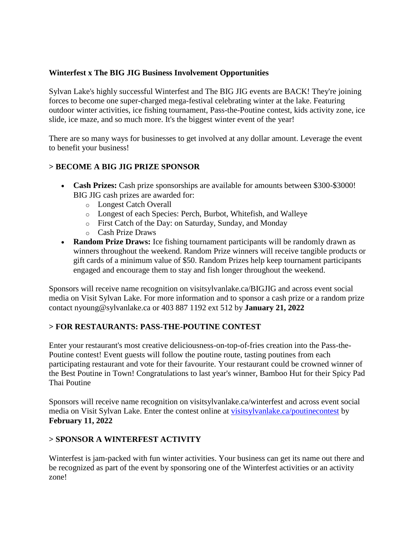## **Winterfest x The BIG JIG Business Involvement Opportunities**

Sylvan Lake's highly successful Winterfest and The BIG JIG events are BACK! They're joining forces to become one super-charged mega-festival celebrating winter at the lake. Featuring outdoor winter activities, ice fishing tournament, Pass-the-Poutine contest, kids activity zone, ice slide, ice maze, and so much more. It's the biggest winter event of the year!

There are so many ways for businesses to get involved at any dollar amount. Leverage the event to benefit your business!

## **> BECOME A BIG JIG PRIZE SPONSOR**

- **Cash Prizes:** Cash prize sponsorships are available for amounts between \$300-\$3000! BIG JIG cash prizes are awarded for:
	- o Longest Catch Overall
	- o Longest of each Species: Perch, Burbot, Whitefish, and Walleye
	- o First Catch of the Day: on Saturday, Sunday, and Monday
	- o Cash Prize Draws
- **Random Prize Draws:** Ice fishing tournament participants will be randomly drawn as winners throughout the weekend. Random Prize winners will receive tangible products or gift cards of a minimum value of \$50. Random Prizes help keep tournament participants engaged and encourage them to stay and fish longer throughout the weekend.

Sponsors will receive name recognition on visitsylvanlake.ca/BIGJIG and across event social media on Visit Sylvan Lake. For more information and to sponsor a cash prize or a random prize contact nyoung@sylvanlake.ca or 403 887 1192 ext 512 by **January 21, 2022**

# **> FOR RESTAURANTS: PASS-THE-POUTINE CONTEST**

Enter your restaurant's most creative deliciousness-on-top-of-fries creation into the Pass-the-Poutine contest! Event guests will follow the poutine route, tasting poutines from each participating restaurant and vote for their favourite. Your restaurant could be crowned winner of the Best Poutine in Town! Congratulations to last year's winner, Bamboo Hut for their Spicy Pad Thai Poutine

Sponsors will receive name recognition on visitsylvanlake.ca/winterfest and across event social media on Visit Sylvan Lake. Enter the contest online at [visitsylvanlake.ca/poutinecontest](https://visitsylvanlake.ca/poutinecontest/) by **February 11, 2022**

## **> SPONSOR A WINTERFEST ACTIVITY**

Winterfest is jam-packed with fun winter activities. Your business can get its name out there and be recognized as part of the event by sponsoring one of the Winterfest activities or an activity zone!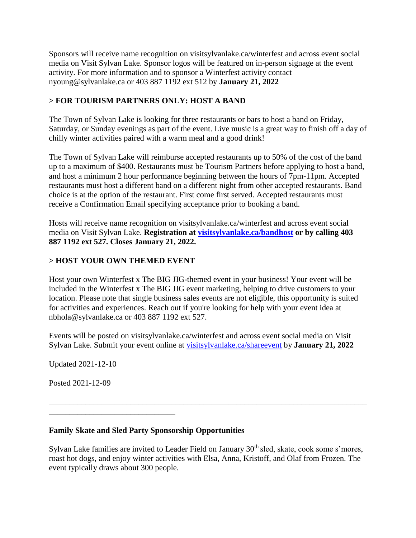Sponsors will receive name recognition on visitsylvanlake.ca/winterfest and across event social media on Visit Sylvan Lake. Sponsor logos will be featured on in-person signage at the event activity. For more information and to sponsor a Winterfest activity contact nyoung@sylvanlake.ca or 403 887 1192 ext 512 by **January 21, 2022**

# **> FOR TOURISM PARTNERS ONLY: HOST A BAND**

The Town of Sylvan Lake is looking for three restaurants or bars to host a band on Friday, Saturday, or Sunday evenings as part of the event. Live music is a great way to finish off a day of chilly winter activities paired with a warm meal and a good drink!

The Town of Sylvan Lake will reimburse accepted restaurants up to 50% of the cost of the band up to a maximum of \$400. Restaurants must be Tourism Partners before applying to host a band, and host a minimum 2 hour performance beginning between the hours of 7pm-11pm. Accepted restaurants must host a different band on a different night from other accepted restaurants. Band choice is at the option of the restaurant. First come first served. Accepted restaurants must receive a Confirmation Email specifying acceptance prior to booking a band.

Hosts will receive name recognition on visitsylvanlake.ca/winterfest and across event social media on Visit Sylvan Lake. **Registration at [visitsylvanlake.ca/bandhost](https://visitsylvanlake.ca/bandhost/) or by calling 403 887 1192 ext 527. Closes January 21, 2022.**

## **> HOST YOUR OWN THEMED EVENT**

Host your own Winterfest x The BIG JIG-themed event in your business! Your event will be included in the Winterfest x The BIG JIG event marketing, helping to drive customers to your location. Please note that single business sales events are not eligible, this opportunity is suited for activities and experiences. Reach out if you're looking for help with your event idea at nbhola@sylvanlake.ca or 403 887 1192 ext 527.

Events will be posted on visitsylvanlake.ca/winterfest and across event social media on Visit Sylvan Lake. Submit your event online at [visitsylvanlake.ca/shareevent](https://visitsylvanlake.ca/shareevent/) by **January 21, 2022**

Updated 2021-12-10

Posted 2021-12-09

\_\_\_\_\_\_\_\_\_\_\_\_\_\_\_\_\_\_\_\_\_\_\_\_\_\_\_\_\_\_\_

# **Family Skate and Sled Party Sponsorship Opportunities**

Sylvan Lake families are invited to Leader Field on January 30<sup>th</sup> sled, skate, cook some s'mores, roast hot dogs, and enjoy winter activities with Elsa, Anna, Kristoff, and Olaf from Frozen. The event typically draws about 300 people.

\_\_\_\_\_\_\_\_\_\_\_\_\_\_\_\_\_\_\_\_\_\_\_\_\_\_\_\_\_\_\_\_\_\_\_\_\_\_\_\_\_\_\_\_\_\_\_\_\_\_\_\_\_\_\_\_\_\_\_\_\_\_\_\_\_\_\_\_\_\_\_\_\_\_\_\_\_\_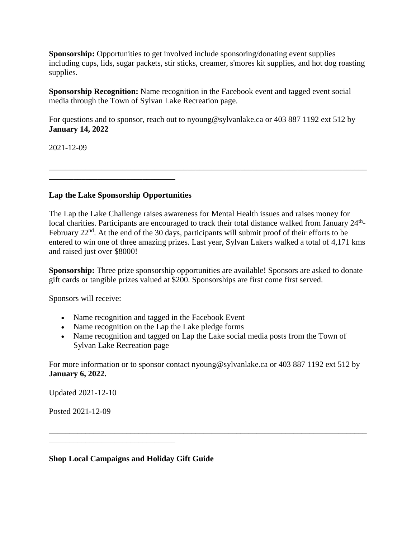**Sponsorship:** Opportunities to get involved include sponsoring/donating event supplies including cups, lids, sugar packets, stir sticks, creamer, s'mores kit supplies, and hot dog roasting supplies.

**Sponsorship Recognition:** Name recognition in the Facebook event and tagged event social media through the Town of Sylvan Lake Recreation page.

For questions and to sponsor, reach out to nyoung@sylvanlake.ca or 403 887 1192 ext 512 by **January 14, 2022**

2021-12-09

\_\_\_\_\_\_\_\_\_\_\_\_\_\_\_\_\_\_\_\_\_\_\_\_\_\_\_\_\_\_\_

### **Lap the Lake Sponsorship Opportunities**

The Lap the Lake Challenge raises awareness for Mental Health issues and raises money for local charities. Participants are encouraged to track their total distance walked from January 24<sup>th</sup>-February  $22<sup>nd</sup>$ . At the end of the 30 days, participants will submit proof of their efforts to be entered to win one of three amazing prizes. Last year, Sylvan Lakers walked a total of 4,171 kms and raised just over \$8000!

\_\_\_\_\_\_\_\_\_\_\_\_\_\_\_\_\_\_\_\_\_\_\_\_\_\_\_\_\_\_\_\_\_\_\_\_\_\_\_\_\_\_\_\_\_\_\_\_\_\_\_\_\_\_\_\_\_\_\_\_\_\_\_\_\_\_\_\_\_\_\_\_\_\_\_\_\_\_

**Sponsorship:** Three prize sponsorship opportunities are available! Sponsors are asked to donate gift cards or tangible prizes valued at \$200. Sponsorships are first come first served.

Sponsors will receive:

- Name recognition and tagged in the Facebook Event
- Name recognition on the Lap the Lake pledge forms
- Name recognition and tagged on Lap the Lake social media posts from the Town of Sylvan Lake Recreation page

For more information or to sponsor contact nyoung@sylvanlake.ca or 403 887 1192 ext 512 by **January 6, 2022.**

\_\_\_\_\_\_\_\_\_\_\_\_\_\_\_\_\_\_\_\_\_\_\_\_\_\_\_\_\_\_\_\_\_\_\_\_\_\_\_\_\_\_\_\_\_\_\_\_\_\_\_\_\_\_\_\_\_\_\_\_\_\_\_\_\_\_\_\_\_\_\_\_\_\_\_\_\_\_

Updated 2021-12-10

Posted 2021-12-09

**Shop Local Campaigns and Holiday Gift Guide**

\_\_\_\_\_\_\_\_\_\_\_\_\_\_\_\_\_\_\_\_\_\_\_\_\_\_\_\_\_\_\_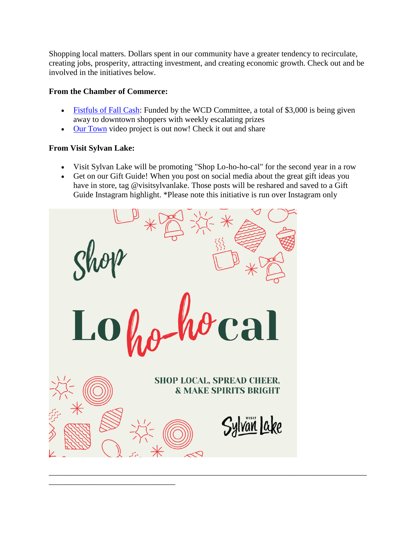Shopping local matters. Dollars spent in our community have a greater tendency to recirculate, creating jobs, prosperity, attracting investment, and creating economic growth. Check out and be involved in the initiatives below.

## **From the Chamber of Commerce:**

\_\_\_\_\_\_\_\_\_\_\_\_\_\_\_\_\_\_\_\_\_\_\_\_\_\_\_\_\_\_\_

- [Fistfuls of Fall Cash:](https://www.sylvanlakechamber.com/fistfulsofcash) Funded by the WCD Committee, a total of \$3,000 is being given away to downtown shoppers with weekly escalating prizes
- [Our Town](https://www.youtube.com/watch?v=-jwn_xmU2ws) video project is out now! Check it out and share

# **From Visit Sylvan Lake:**

- Visit Sylvan Lake will be promoting "Shop Lo-ho-ho-cal" for the second year in a row
- Get on our Gift Guide! When you post on social media about the great gift ideas you have in store, tag @visitsylvanlake. Those posts will be reshared and saved to a Gift Guide Instagram highlight. \*Please note this initiative is run over Instagram only

\_\_\_\_\_\_\_\_\_\_\_\_\_\_\_\_\_\_\_\_\_\_\_\_\_\_\_\_\_\_\_\_\_\_\_\_\_\_\_\_\_\_\_\_\_\_\_\_\_\_\_\_\_\_\_\_\_\_\_\_\_\_\_\_\_\_\_\_\_\_\_\_\_\_\_\_\_\_

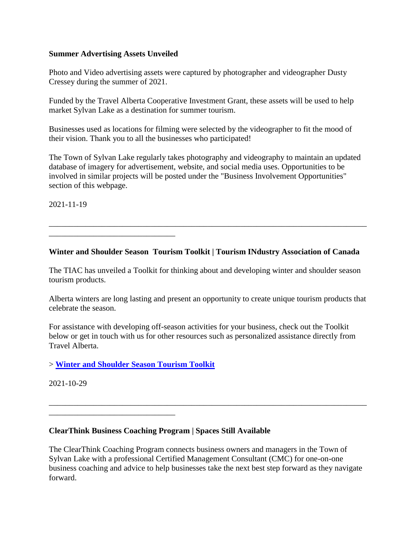### **Summer Advertising Assets Unveiled**

\_\_\_\_\_\_\_\_\_\_\_\_\_\_\_\_\_\_\_\_\_\_\_\_\_\_\_\_\_\_\_

Photo and Video advertising assets were captured by photographer and videographer Dusty Cressey during the summer of 2021.

Funded by the Travel Alberta Cooperative Investment Grant, these assets will be used to help market Sylvan Lake as a destination for summer tourism.

Businesses used as locations for filming were selected by the videographer to fit the mood of their vision. Thank you to all the businesses who participated!

The Town of Sylvan Lake regularly takes photography and videography to maintain an updated database of imagery for advertisement, website, and social media uses. Opportunities to be involved in similar projects will be posted under the "Business Involvement Opportunities" section of this webpage.

2021-11-19

**Winter and Shoulder Season Tourism Toolkit | Tourism INdustry Association of Canada**

\_\_\_\_\_\_\_\_\_\_\_\_\_\_\_\_\_\_\_\_\_\_\_\_\_\_\_\_\_\_\_\_\_\_\_\_\_\_\_\_\_\_\_\_\_\_\_\_\_\_\_\_\_\_\_\_\_\_\_\_\_\_\_\_\_\_\_\_\_\_\_\_\_\_\_\_\_\_

The TIAC has unveiled a Toolkit for thinking about and developing winter and shoulder season tourism products.

Alberta winters are long lasting and present an opportunity to create unique tourism products that celebrate the season.

For assistance with developing off-season activities for your business, check out the Toolkit below or get in touch with us for other resources such as personalized assistance directly from Travel Alberta.

## > **[Winter and Shoulder Season Tourism Toolkit](https://ecehub.tiac-aitc.ca/en/resource/winter-shoulder-season-national-toolkit/)**

\_\_\_\_\_\_\_\_\_\_\_\_\_\_\_\_\_\_\_\_\_\_\_\_\_\_\_\_\_\_\_

2021-10-29

**ClearThink Business Coaching Program | Spaces Still Available**

The ClearThink Coaching Program connects business owners and managers in the Town of Sylvan Lake with a professional Certified Management Consultant (CMC) for one-on-one business coaching and advice to help businesses take the next best step forward as they navigate forward.

\_\_\_\_\_\_\_\_\_\_\_\_\_\_\_\_\_\_\_\_\_\_\_\_\_\_\_\_\_\_\_\_\_\_\_\_\_\_\_\_\_\_\_\_\_\_\_\_\_\_\_\_\_\_\_\_\_\_\_\_\_\_\_\_\_\_\_\_\_\_\_\_\_\_\_\_\_\_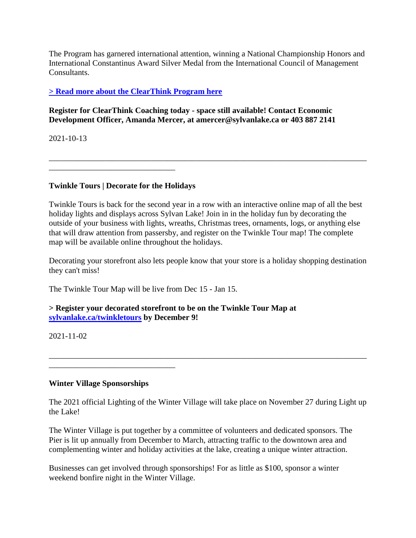The Program has garnered international attention, winning a National Championship Honors and International Constantinus Award Silver Medal from the International Council of Management Consultants.

# **[> Read more about the ClearThink Program here](https://www.cmc-canada.ca/Coaching-Program-Sylvan-Lake-Alberta)**

### **Register for ClearThink Coaching today - space still available! Contact Economic Development Officer, Amanda Mercer, at amercer@sylvanlake.ca or 403 887 2141**

2021-10-13

\_\_\_\_\_\_\_\_\_\_\_\_\_\_\_\_\_\_\_\_\_\_\_\_\_\_\_\_\_\_\_

## **Twinkle Tours | Decorate for the Holidays**

Twinkle Tours is back for the second year in a row with an interactive online map of all the best holiday lights and displays across Sylvan Lake! Join in in the holiday fun by decorating the outside of your business with lights, wreaths, Christmas trees, ornaments, logs, or anything else that will draw attention from passersby, and register on the Twinkle Tour map! The complete map will be available online throughout the holidays.

\_\_\_\_\_\_\_\_\_\_\_\_\_\_\_\_\_\_\_\_\_\_\_\_\_\_\_\_\_\_\_\_\_\_\_\_\_\_\_\_\_\_\_\_\_\_\_\_\_\_\_\_\_\_\_\_\_\_\_\_\_\_\_\_\_\_\_\_\_\_\_\_\_\_\_\_\_\_

Decorating your storefront also lets people know that your store is a holiday shopping destination they can't miss!

The Twinkle Tour Map will be live from Dec 15 - Jan 15.

## **> Register your decorated storefront to be on the Twinkle Tour Map at [sylvanlake.ca/twinkletours](https://forms.sylvanlake.ca/Events/TwinkleTour) by December 9!**

2021-11-02

## **Winter Village Sponsorships**

\_\_\_\_\_\_\_\_\_\_\_\_\_\_\_\_\_\_\_\_\_\_\_\_\_\_\_\_\_\_\_

The 2021 official Lighting of the Winter Village will take place on November 27 during Light up the Lake!

\_\_\_\_\_\_\_\_\_\_\_\_\_\_\_\_\_\_\_\_\_\_\_\_\_\_\_\_\_\_\_\_\_\_\_\_\_\_\_\_\_\_\_\_\_\_\_\_\_\_\_\_\_\_\_\_\_\_\_\_\_\_\_\_\_\_\_\_\_\_\_\_\_\_\_\_\_\_

The Winter Village is put together by a committee of volunteers and dedicated sponsors. The Pier is lit up annually from December to March, attracting traffic to the downtown area and complementing winter and holiday activities at the lake, creating a unique winter attraction.

Businesses can get involved through sponsorships! For as little as \$100, sponsor a winter weekend bonfire night in the Winter Village.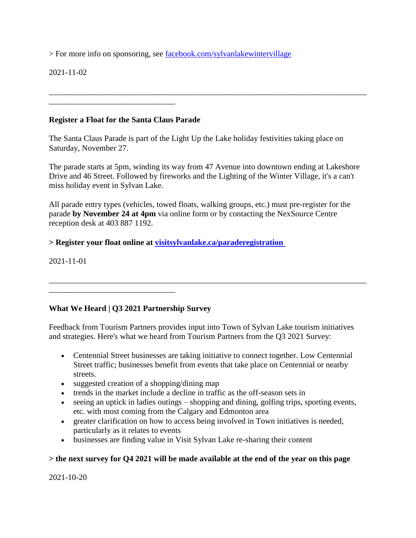> For more info on sponsoring, see [facebook.com/sylvanlakewintervillage](https://www.facebook.com/sylvanlakewintervillage)

2021-11-02

### **Register a Float for the Santa Claus Parade**

\_\_\_\_\_\_\_\_\_\_\_\_\_\_\_\_\_\_\_\_\_\_\_\_\_\_\_\_\_\_\_

The Santa Claus Parade is part of the Light Up the Lake holiday festivities taking place on Saturday, November 27.

The parade starts at 5pm, winding its way from 47 Avenue into downtown ending at Lakeshore Drive and 46 Street. Followed by fireworks and the Lighting of the Winter Village, it's a can't miss holiday event in Sylvan Lake.

\_\_\_\_\_\_\_\_\_\_\_\_\_\_\_\_\_\_\_\_\_\_\_\_\_\_\_\_\_\_\_\_\_\_\_\_\_\_\_\_\_\_\_\_\_\_\_\_\_\_\_\_\_\_\_\_\_\_\_\_\_\_\_\_\_\_\_\_\_\_\_\_\_\_\_\_\_\_

All parade entry types (vehicles, towed floats, walking groups, etc.) must pre-register for the parade **by November 24 at 4pm** via online form or by contacting the NexSource Centre reception desk at 403 887 1192.

**> Register your float online at [visitsylvanlake.ca/paraderegistration](https://visitsylvanlake.ca/paraderegistration/)**

2021-11-01

## **What We Heard | Q3 2021 Partnership Survey**

\_\_\_\_\_\_\_\_\_\_\_\_\_\_\_\_\_\_\_\_\_\_\_\_\_\_\_\_\_\_\_

Feedback from Tourism Partners provides input into Town of Sylvan Lake tourism initiatives and strategies. Here's what we heard from Tourism Partners from the Q3 2021 Survey:

\_\_\_\_\_\_\_\_\_\_\_\_\_\_\_\_\_\_\_\_\_\_\_\_\_\_\_\_\_\_\_\_\_\_\_\_\_\_\_\_\_\_\_\_\_\_\_\_\_\_\_\_\_\_\_\_\_\_\_\_\_\_\_\_\_\_\_\_\_\_\_\_\_\_\_\_\_\_

- Centennial Street businesses are taking initiative to connect together. Low Centennial Street traffic; businesses benefit from events that take place on Centennial or nearby streets.
- suggested creation of a shopping/dining map
- trends in the market include a decline in traffic as the off-season sets in
- seeing an uptick in ladies outings shopping and dining, golfing trips, sporting events, etc. with most coming from the Calgary and Edmonton area
- greater clarification on how to access being involved in Town initiatives is needed, particularly as it relates to events
- businesses are finding value in Visit Sylvan Lake re-sharing their content

#### **> the next survey for Q4 2021 will be made available at the end of the year on this page**

2021-10-20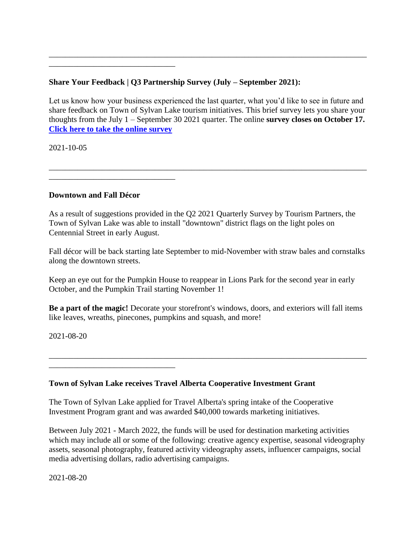# **Share Your Feedback | Q3 Partnership Survey (July – September 2021):**

Let us know how your business experienced the last quarter, what you'd like to see in future and share feedback on Town of Sylvan Lake tourism initiatives. This brief survey lets you share your thoughts from the July 1 – September 30 2021 quarter. The online **survey closes on October 17. [Click here to take the online survey](https://forms.office.com/Pages/ResponsePage.aspx?id=YLfQc7D-1USdye4EPLb3nO7OlnmnNwBDqskK61kgOxBUM0ZXWUNTV0Y2M1NEUE9KMkpXWElVWEdYVi4u)**

\_\_\_\_\_\_\_\_\_\_\_\_\_\_\_\_\_\_\_\_\_\_\_\_\_\_\_\_\_\_\_\_\_\_\_\_\_\_\_\_\_\_\_\_\_\_\_\_\_\_\_\_\_\_\_\_\_\_\_\_\_\_\_\_\_\_\_\_\_\_\_\_\_\_\_\_\_\_

\_\_\_\_\_\_\_\_\_\_\_\_\_\_\_\_\_\_\_\_\_\_\_\_\_\_\_\_\_\_\_\_\_\_\_\_\_\_\_\_\_\_\_\_\_\_\_\_\_\_\_\_\_\_\_\_\_\_\_\_\_\_\_\_\_\_\_\_\_\_\_\_\_\_\_\_\_\_

2021-10-05

### **Downtown and Fall Décor**

\_\_\_\_\_\_\_\_\_\_\_\_\_\_\_\_\_\_\_\_\_\_\_\_\_\_\_\_\_\_\_

\_\_\_\_\_\_\_\_\_\_\_\_\_\_\_\_\_\_\_\_\_\_\_\_\_\_\_\_\_\_\_

\_\_\_\_\_\_\_\_\_\_\_\_\_\_\_\_\_\_\_\_\_\_\_\_\_\_\_\_\_\_\_

As a result of suggestions provided in the Q2 2021 Quarterly Survey by Tourism Partners, the Town of Sylvan Lake was able to install "downtown" district flags on the light poles on Centennial Street in early August.

Fall décor will be back starting late September to mid-November with straw bales and cornstalks along the downtown streets.

Keep an eye out for the Pumpkin House to reappear in Lions Park for the second year in early October, and the Pumpkin Trail starting November 1!

**Be a part of the magic!** Decorate your storefront's windows, doors, and exteriors will fall items like leaves, wreaths, pinecones, pumpkins and squash, and more!

\_\_\_\_\_\_\_\_\_\_\_\_\_\_\_\_\_\_\_\_\_\_\_\_\_\_\_\_\_\_\_\_\_\_\_\_\_\_\_\_\_\_\_\_\_\_\_\_\_\_\_\_\_\_\_\_\_\_\_\_\_\_\_\_\_\_\_\_\_\_\_\_\_\_\_\_\_\_

2021-08-20

## **Town of Sylvan Lake receives Travel Alberta Cooperative Investment Grant**

The Town of Sylvan Lake applied for Travel Alberta's spring intake of the Cooperative Investment Program grant and was awarded \$40,000 towards marketing initiatives.

Between July 2021 - March 2022, the funds will be used for destination marketing activities which may include all or some of the following: creative agency expertise, seasonal videography assets, seasonal photography, featured activity videography assets, influencer campaigns, social media advertising dollars, radio advertising campaigns.

2021-08-20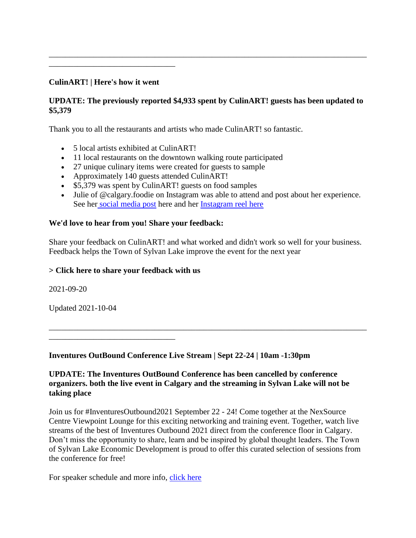# **CulinART! | Here's how it went**

\_\_\_\_\_\_\_\_\_\_\_\_\_\_\_\_\_\_\_\_\_\_\_\_\_\_\_\_\_\_\_

# **UPDATE: The previously reported \$4,933 spent by CulinART! guests has been updated to \$5,379**

\_\_\_\_\_\_\_\_\_\_\_\_\_\_\_\_\_\_\_\_\_\_\_\_\_\_\_\_\_\_\_\_\_\_\_\_\_\_\_\_\_\_\_\_\_\_\_\_\_\_\_\_\_\_\_\_\_\_\_\_\_\_\_\_\_\_\_\_\_\_\_\_\_\_\_\_\_\_

Thank you to all the restaurants and artists who made CulinART! so fantastic.

- 5 local artists exhibited at CulinART!
- 11 local restaurants on the downtown walking route participated
- 27 unique culinary items were created for guests to sample
- Approximately 140 guests attended CulinART!
- \$5,379 was spent by CulinART! guests on food samples
- Julie of @calgary.foodie on Instagram was able to attend and post about her experience. See her [social media post](https://www.instagram.com/p/CT3DXMnP8Jq/) here and her [Instagram reel here](https://www.instagram.com/reel/CT3Bg-Lgofm/)

#### **We'd love to hear from you! Share your feedback:**

Share your feedback on CulinART! and what worked and didn't work so well for your business. Feedback helps the Town of Sylvan Lake improve the event for the next year

\_\_\_\_\_\_\_\_\_\_\_\_\_\_\_\_\_\_\_\_\_\_\_\_\_\_\_\_\_\_\_\_\_\_\_\_\_\_\_\_\_\_\_\_\_\_\_\_\_\_\_\_\_\_\_\_\_\_\_\_\_\_\_\_\_\_\_\_\_\_\_\_\_\_\_\_\_\_

#### **[> Click here to share your feedback with us](https://visitsylvanlake.ca/culinartfeedback/)**

2021-09-20

Updated 2021-10-04

\_\_\_\_\_\_\_\_\_\_\_\_\_\_\_\_\_\_\_\_\_\_\_\_\_\_\_\_\_\_\_

### **Inventures OutBound Conference Live Stream | Sept 22-24 | 10am -1:30pm**

### **UPDATE: The Inventures OutBound Conference has been cancelled by conference organizers. both the live event in Calgary and the streaming in Sylvan Lake will not be taking place**

Join us for #InventuresOutbound2021 September 22 - 24! Come together at the NexSource Centre Viewpoint Lounge for this exciting networking and training event. Together, watch live streams of the best of Inventures Outbound 2021 direct from the conference floor in Calgary. Don't miss the opportunity to share, learn and be inspired by global thought leaders. The Town of Sylvan Lake Economic Development is proud to offer this curated selection of sessions from the conference for free!

For speaker schedule and more info, [click here](https://www.sylvanlake.ca/Modules/News/index.aspx?page=3&newsId=a95d4032-ba12-4fb6-9c9f-e518e3ec16d8)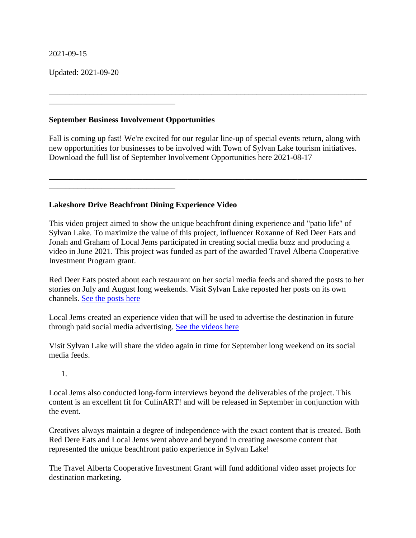#### 2021-09-15

Updated: 2021-09-20

### **September Business Involvement Opportunities**

\_\_\_\_\_\_\_\_\_\_\_\_\_\_\_\_\_\_\_\_\_\_\_\_\_\_\_\_\_\_\_

\_\_\_\_\_\_\_\_\_\_\_\_\_\_\_\_\_\_\_\_\_\_\_\_\_\_\_\_\_\_\_

Fall is coming up fast! We're excited for our regular line-up of special events return, along with new opportunities for businesses to be involved with Town of Sylvan Lake tourism initiatives. Download the full list of September Involvement Opportunities here 2021-08-17

\_\_\_\_\_\_\_\_\_\_\_\_\_\_\_\_\_\_\_\_\_\_\_\_\_\_\_\_\_\_\_\_\_\_\_\_\_\_\_\_\_\_\_\_\_\_\_\_\_\_\_\_\_\_\_\_\_\_\_\_\_\_\_\_\_\_\_\_\_\_\_\_\_\_\_\_\_\_

\_\_\_\_\_\_\_\_\_\_\_\_\_\_\_\_\_\_\_\_\_\_\_\_\_\_\_\_\_\_\_\_\_\_\_\_\_\_\_\_\_\_\_\_\_\_\_\_\_\_\_\_\_\_\_\_\_\_\_\_\_\_\_\_\_\_\_\_\_\_\_\_\_\_\_\_\_\_

### **Lakeshore Drive Beachfront Dining Experience Video**

This video project aimed to show the unique beachfront dining experience and "patio life" of Sylvan Lake. To maximize the value of this project, influencer Roxanne of Red Deer Eats and Jonah and Graham of Local Jems participated in creating social media buzz and producing a video in June 2021. This project was funded as part of the awarded Travel Alberta Cooperative Investment Program grant.

Red Deer Eats posted about each restaurant on her social media feeds and shared the posts to her stories on July and August long weekends. Visit Sylvan Lake reposted her posts on its own channels. [See the posts here](https://www.instagram.com/reddeereats/)

Local Jems created an experience video that will be used to advertise the destination in future through paid social media advertising. [See the videos here](https://www.instagram.com/local_jems/)

Visit Sylvan Lake will share the video again in time for September long weekend on its social media feeds.

1.

Local Jems also conducted long-form interviews beyond the deliverables of the project. This content is an excellent fit for CulinART! and will be released in September in conjunction with the event.

Creatives always maintain a degree of independence with the exact content that is created. Both Red Dere Eats and Local Jems went above and beyond in creating awesome content that represented the unique beachfront patio experience in Sylvan Lake!

The Travel Alberta Cooperative Investment Grant will fund additional video asset projects for destination marketing.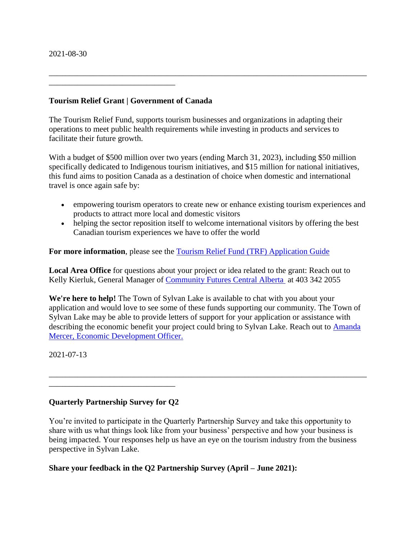#### 2021-08-30

#### **Tourism Relief Grant | Government of Canada**

\_\_\_\_\_\_\_\_\_\_\_\_\_\_\_\_\_\_\_\_\_\_\_\_\_\_\_\_\_\_\_

The Tourism Relief Fund, supports tourism businesses and organizations in adapting their operations to meet public health requirements while investing in products and services to facilitate their future growth.

\_\_\_\_\_\_\_\_\_\_\_\_\_\_\_\_\_\_\_\_\_\_\_\_\_\_\_\_\_\_\_\_\_\_\_\_\_\_\_\_\_\_\_\_\_\_\_\_\_\_\_\_\_\_\_\_\_\_\_\_\_\_\_\_\_\_\_\_\_\_\_\_\_\_\_\_\_\_

With a budget of \$500 million over two years (ending March 31, 2023), including \$50 million specifically dedicated to Indigenous tourism initiatives, and \$15 million for national initiatives, this fund aims to position Canada as a destination of choice when domestic and international travel is once again safe by:

- empowering tourism operators to create new or enhance existing tourism experiences and products to attract more local and domestic visitors
- helping the sector reposition itself to welcome international visitors by offering the best Canadian tourism experiences we have to offer the world

For more information, please see the **Tourism Relief Fund (TRF)** Application Guide

**Local Area Office** for questions about your project or idea related to the grant: Reach out to Kelly Kierluk, General Manager of [Community Futures Central Alberta](http://central.albertacf.com/) at 403 342 2055

**We're here to help!** The Town of Sylvan Lake is available to chat with you about your application and would love to see some of these funds supporting our community. The Town of Sylvan Lake may be able to provide letters of support for your application or assistance with describing the economic benefit your project could bring to Sylvan Lake. Reach out to [Amanda](_wp_link_placeholder)  [Mercer, Economic Development Officer.](_wp_link_placeholder)

\_\_\_\_\_\_\_\_\_\_\_\_\_\_\_\_\_\_\_\_\_\_\_\_\_\_\_\_\_\_\_\_\_\_\_\_\_\_\_\_\_\_\_\_\_\_\_\_\_\_\_\_\_\_\_\_\_\_\_\_\_\_\_\_\_\_\_\_\_\_\_\_\_\_\_\_\_\_

2021-07-13

## **Quarterly Partnership Survey for Q2**

\_\_\_\_\_\_\_\_\_\_\_\_\_\_\_\_\_\_\_\_\_\_\_\_\_\_\_\_\_\_\_

You're invited to participate in the Quarterly Partnership Survey and take this opportunity to share with us what things look like from your business' perspective and how your business is being impacted. Your responses help us have an eye on the tourism industry from the business perspective in Sylvan Lake.

#### **Share your feedback in the Q2 Partnership Survey (April – June 2021):**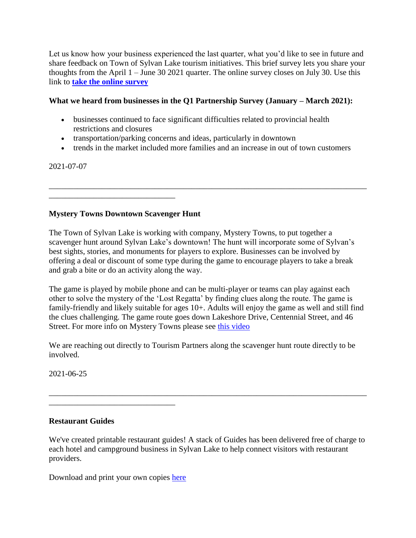Let us know how your business experienced the last quarter, what you'd like to see in future and share feedback on Town of Sylvan Lake tourism initiatives. This brief survey lets you share your thoughts from the April 1 – June 30 2021 quarter. The online survey closes on July 30. Use this link to **[take the online survey](https://forms.office.com/Pages/ResponsePage.aspx?id=YLfQc7D-1USdye4EPLb3nO7OlnmnNwBDqskK61kgOxBUQ1lSSTc3R1g1VVNPVTNZQ01OVFZWVVpCUy4u)**

## **What we heard from businesses in the Q1 Partnership Survey (January – March 2021):**

- businesses continued to face significant difficulties related to provincial health restrictions and closures
- transportation/parking concerns and ideas, particularly in downtown
- trends in the market included more families and an increase in out of town customers

\_\_\_\_\_\_\_\_\_\_\_\_\_\_\_\_\_\_\_\_\_\_\_\_\_\_\_\_\_\_\_\_\_\_\_\_\_\_\_\_\_\_\_\_\_\_\_\_\_\_\_\_\_\_\_\_\_\_\_\_\_\_\_\_\_\_\_\_\_\_\_\_\_\_\_\_\_\_

### 2021-07-07

## **Mystery Towns Downtown Scavenger Hunt**

\_\_\_\_\_\_\_\_\_\_\_\_\_\_\_\_\_\_\_\_\_\_\_\_\_\_\_\_\_\_\_

The Town of Sylvan Lake is working with company, Mystery Towns, to put together a scavenger hunt around Sylvan Lake's downtown! The hunt will incorporate some of Sylvan's best sights, stories, and monuments for players to explore. Businesses can be involved by offering a deal or discount of some type during the game to encourage players to take a break and grab a bite or do an activity along the way.

The game is played by mobile phone and can be multi-player or teams can play against each other to solve the mystery of the 'Lost Regatta' by finding clues along the route. The game is family-friendly and likely suitable for ages 10+. Adults will enjoy the game as well and still find the clues challenging. The game route goes down Lakeshore Drive, Centennial Street, and 46 Street. For more info on Mystery Towns please see [this video](https://youtu.be/-o3SGIVfrLQ)

We are reaching out directly to Tourism Partners along the scavenger hunt route directly to be involved.

2021-06-25

## **Restaurant Guides**

We've created printable restaurant guides! A stack of Guides has been delivered free of charge to each hotel and campground business in Sylvan Lake to help connect visitors with restaurant providers.

\_\_\_\_\_\_\_\_\_\_\_\_\_\_\_\_\_\_\_\_\_\_\_\_\_\_\_\_\_\_\_\_\_\_\_\_\_\_\_\_\_\_\_\_\_\_\_\_\_\_\_\_\_\_\_\_\_\_\_\_\_\_\_\_\_\_\_\_\_\_\_\_\_\_\_\_\_\_

Download and print your own copies [here](https://visitsylvanlake.ca/wp-content/uploads/2021/06/FINAL-2021-Restuarant-Guide-Tabloid-V03-002.pdf)

\_\_\_\_\_\_\_\_\_\_\_\_\_\_\_\_\_\_\_\_\_\_\_\_\_\_\_\_\_\_\_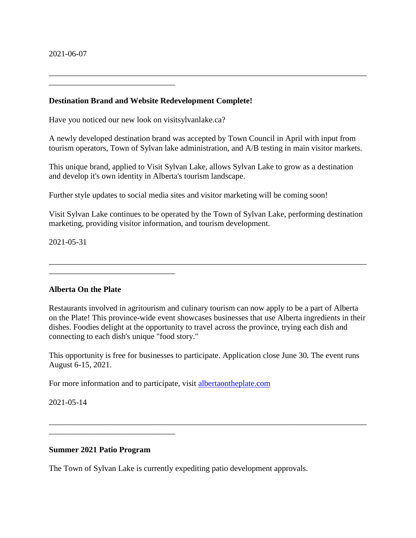#### **Destination Brand and Website Redevelopment Complete!**

Have you noticed our new look on visitsylvanlake.ca?

\_\_\_\_\_\_\_\_\_\_\_\_\_\_\_\_\_\_\_\_\_\_\_\_\_\_\_\_\_\_\_

A newly developed destination brand was accepted by Town Council in April with input from tourism operators, Town of Sylvan lake administration, and A/B testing in main visitor markets.

\_\_\_\_\_\_\_\_\_\_\_\_\_\_\_\_\_\_\_\_\_\_\_\_\_\_\_\_\_\_\_\_\_\_\_\_\_\_\_\_\_\_\_\_\_\_\_\_\_\_\_\_\_\_\_\_\_\_\_\_\_\_\_\_\_\_\_\_\_\_\_\_\_\_\_\_\_\_

This unique brand, applied to Visit Sylvan Lake, allows Sylvan Lake to grow as a destination and develop it's own identity in Alberta's tourism landscape.

Further style updates to social media sites and visitor marketing will be coming soon!

Visit Sylvan Lake continues to be operated by the Town of Sylvan Lake, performing destination marketing, providing visitor information, and tourism development.

\_\_\_\_\_\_\_\_\_\_\_\_\_\_\_\_\_\_\_\_\_\_\_\_\_\_\_\_\_\_\_\_\_\_\_\_\_\_\_\_\_\_\_\_\_\_\_\_\_\_\_\_\_\_\_\_\_\_\_\_\_\_\_\_\_\_\_\_\_\_\_\_\_\_\_\_\_\_

2021-05-31

#### **Alberta On the Plate**

\_\_\_\_\_\_\_\_\_\_\_\_\_\_\_\_\_\_\_\_\_\_\_\_\_\_\_\_\_\_\_

Restaurants involved in agritourism and culinary tourism can now apply to be a part of Alberta on the Plate! This province-wide event showcases businesses that use Alberta ingredients in their dishes. Foodies delight at the opportunity to travel across the province, trying each dish and connecting to each dish's unique "food story."

This opportunity is free for businesses to participate. Application close June 30. The event runs August 6-15, 2021.

\_\_\_\_\_\_\_\_\_\_\_\_\_\_\_\_\_\_\_\_\_\_\_\_\_\_\_\_\_\_\_\_\_\_\_\_\_\_\_\_\_\_\_\_\_\_\_\_\_\_\_\_\_\_\_\_\_\_\_\_\_\_\_\_\_\_\_\_\_\_\_\_\_\_\_\_\_\_

For more information and to participate, visit [albertaontheplate.com](https://www.albertaontheplate.com/registration/)

2021-05-14

#### **Summer 2021 Patio Program**

\_\_\_\_\_\_\_\_\_\_\_\_\_\_\_\_\_\_\_\_\_\_\_\_\_\_\_\_\_\_\_

The Town of Sylvan Lake is currently expediting patio development approvals.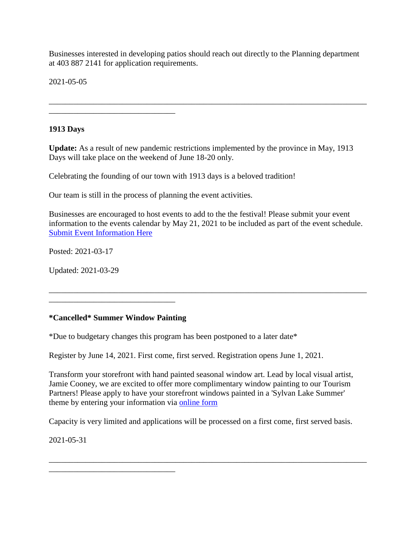Businesses interested in developing patios should reach out directly to the Planning department at 403 887 2141 for application requirements.

\_\_\_\_\_\_\_\_\_\_\_\_\_\_\_\_\_\_\_\_\_\_\_\_\_\_\_\_\_\_\_\_\_\_\_\_\_\_\_\_\_\_\_\_\_\_\_\_\_\_\_\_\_\_\_\_\_\_\_\_\_\_\_\_\_\_\_\_\_\_\_\_\_\_\_\_\_\_

2021-05-05

### **1913 Days**

**Update:** As a result of new pandemic restrictions implemented by the province in May, 1913 Days will take place on the weekend of June 18-20 only.

Celebrating the founding of our town with 1913 days is a beloved tradition!

Our team is still in the process of planning the event activities.

Businesses are encouraged to host events to add to the the festival! Please submit your event information to the events calendar by May 21, 2021 to be included as part of the event schedule. [Submit Event Information Here](https://visitsylvanlake.ca/1913-days-submit-event/)

\_\_\_\_\_\_\_\_\_\_\_\_\_\_\_\_\_\_\_\_\_\_\_\_\_\_\_\_\_\_\_\_\_\_\_\_\_\_\_\_\_\_\_\_\_\_\_\_\_\_\_\_\_\_\_\_\_\_\_\_\_\_\_\_\_\_\_\_\_\_\_\_\_\_\_\_\_\_

Posted: 2021-03-17

Updated: 2021-03-29

#### **\*Cancelled\* Summer Window Painting**

\_\_\_\_\_\_\_\_\_\_\_\_\_\_\_\_\_\_\_\_\_\_\_\_\_\_\_\_\_\_\_

\_\_\_\_\_\_\_\_\_\_\_\_\_\_\_\_\_\_\_\_\_\_\_\_\_\_\_\_\_\_\_

\_\_\_\_\_\_\_\_\_\_\_\_\_\_\_\_\_\_\_\_\_\_\_\_\_\_\_\_\_\_\_

\*Due to budgetary changes this program has been postponed to a later date\*

Register by June 14, 2021. First come, first served. Registration opens June 1, 2021.

Transform your storefront with hand painted seasonal window art. Lead by local visual artist, Jamie Cooney, we are excited to offer more complimentary window painting to our Tourism Partners! Please apply to have your storefront windows painted in a 'Sylvan Lake Summer' theme by entering your information via [online form](https://visitsylvanlake.ca/2021-summer-window-painting-registration/)

Capacity is very limited and applications will be processed on a first come, first served basis.

\_\_\_\_\_\_\_\_\_\_\_\_\_\_\_\_\_\_\_\_\_\_\_\_\_\_\_\_\_\_\_\_\_\_\_\_\_\_\_\_\_\_\_\_\_\_\_\_\_\_\_\_\_\_\_\_\_\_\_\_\_\_\_\_\_\_\_\_\_\_\_\_\_\_\_\_\_\_

2021-05-31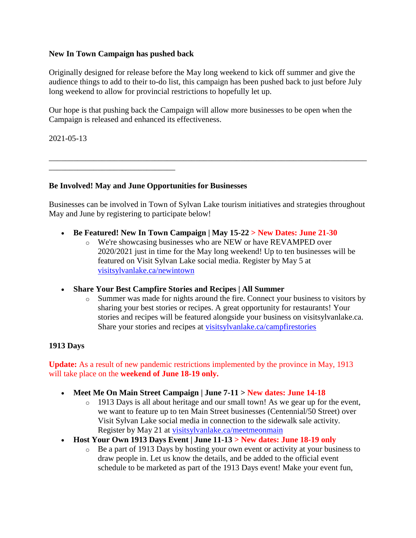### **New In Town Campaign has pushed back**

\_\_\_\_\_\_\_\_\_\_\_\_\_\_\_\_\_\_\_\_\_\_\_\_\_\_\_\_\_\_\_

Originally designed for release before the May long weekend to kick off summer and give the audience things to add to their to-do list, this campaign has been pushed back to just before July long weekend to allow for provincial restrictions to hopefully let up.

Our hope is that pushing back the Campaign will allow more businesses to be open when the Campaign is released and enhanced its effectiveness.

2021-05-13

**Be Involved! May and June Opportunities for Businesses**

Businesses can be involved in Town of Sylvan Lake tourism initiatives and strategies throughout May and June by registering to participate below!

\_\_\_\_\_\_\_\_\_\_\_\_\_\_\_\_\_\_\_\_\_\_\_\_\_\_\_\_\_\_\_\_\_\_\_\_\_\_\_\_\_\_\_\_\_\_\_\_\_\_\_\_\_\_\_\_\_\_\_\_\_\_\_\_\_\_\_\_\_\_\_\_\_\_\_\_\_\_

- **Be Featured! New In Town Campaign | May 15-22 > New Dates: June 21-30**
	- o We're showcasing businesses who are NEW or have REVAMPED over 2020/2021 just in time for the May long weekend! Up to ten businesses will be featured on Visit Sylvan Lake social media. Register by May 5 at [visitsylvanlake.ca/newintown](https://visitsylvanlake.ca/newintown/)
- **Share Your Best Campfire Stories and Recipes | All Summer**
	- o Summer was made for nights around the fire. Connect your business to visitors by sharing your best stories or recipes. A great opportunity for restaurants! Your stories and recipes will be featured alongside your business on visitsylvanlake.ca. Share your stories and recipes at [visitsylvanlake.ca/campfirestories](https://visitsylvanlake.ca/campfirestories/)

## **1913 Days**

**Update:** As a result of new pandemic restrictions implemented by the province in May, 1913 will take place on the **weekend of June 18-19 only.**

- **Meet Me On Main Street Campaign | June 7-11 > New dates: June 14-18**
	- o 1913 Days is all about heritage and our small town! As we gear up for the event, we want to feature up to ten Main Street businesses (Centennial/50 Street) over Visit Sylvan Lake social media in connection to the sidewalk sale activity. Register by May 21 at [visitsylvanlake.ca/meetmeonmain](https://visitsylvanlake.ca/meetmeonmain/)
- **Host Your Own 1913 Days Event | June 11-13 > New dates: June 18-19 only**
	- o Be a part of 1913 Days by hosting your own event or activity at your business to draw people in. Let us know the details, and be added to the official event schedule to be marketed as part of the 1913 Days event! Make your event fun,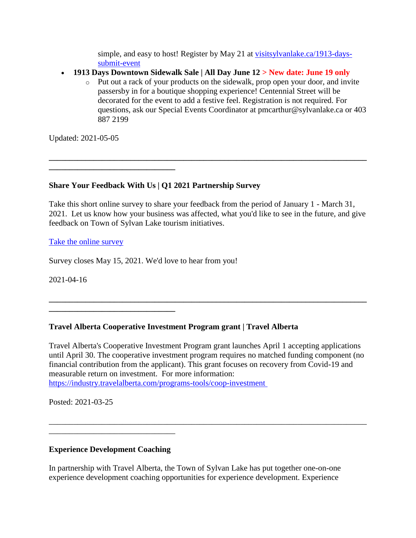simple, and easy to host! Register by May 21 at [visitsylvanlake.ca/1913-days](https://visitsylvanlake.ca/1913-days-submit-event/)[submit-event](https://visitsylvanlake.ca/1913-days-submit-event/)

- **1913 Days Downtown Sidewalk Sale | All Day June 12 > New date: June 19 only**
	- o Put out a rack of your products on the sidewalk, prop open your door, and invite passersby in for a boutique shopping experience! Centennial Street will be decorated for the event to add a festive feel. Registration is not required. For questions, ask our Special Events Coordinator at pmcarthur@sylvanlake.ca or 403 887 2199

Updated: 2021-05-05

**\_\_\_\_\_\_\_\_\_\_\_\_\_\_\_\_\_\_\_\_\_\_\_\_\_\_\_\_\_\_\_**

**\_\_\_\_\_\_\_\_\_\_\_\_\_\_\_\_\_\_\_\_\_\_\_\_\_\_\_\_\_\_\_**

**Share Your Feedback With Us | Q1 2021 Partnership Survey**

Take this short online survey to share your feedback from the period of January 1 - March 31, 2021. Let us know how your business was affected, what you'd like to see in the future, and give feedback on Town of Sylvan Lake tourism initiatives.

**\_\_\_\_\_\_\_\_\_\_\_\_\_\_\_\_\_\_\_\_\_\_\_\_\_\_\_\_\_\_\_\_\_\_\_\_\_\_\_\_\_\_\_\_\_\_\_\_\_\_\_\_\_\_\_\_\_\_\_\_\_\_\_\_\_\_\_\_\_\_\_\_\_\_\_\_\_\_**

[Take the online survey](https://visitsylvanlake.ca/tourism-partner-area/)

Survey closes May 15, 2021. We'd love to hear from you!

2021-04-16

# **Travel Alberta Cooperative Investment Program grant | Travel Alberta**

Travel Alberta's Cooperative Investment Program grant launches April 1 accepting applications until April 30. The cooperative investment program requires no matched funding component (no financial contribution from the applicant). This grant focuses on recovery from Covid-19 and measurable return on investment. For more information: <https://industry.travelalberta.com/programs-tools/coop-investment>

\_\_\_\_\_\_\_\_\_\_\_\_\_\_\_\_\_\_\_\_\_\_\_\_\_\_\_\_\_\_\_\_\_\_\_\_\_\_\_\_\_\_\_\_\_\_\_\_\_\_\_\_\_\_\_\_\_\_\_\_\_\_\_\_\_\_\_\_\_\_\_\_\_\_\_\_\_\_

**\_\_\_\_\_\_\_\_\_\_\_\_\_\_\_\_\_\_\_\_\_\_\_\_\_\_\_\_\_\_\_\_\_\_\_\_\_\_\_\_\_\_\_\_\_\_\_\_\_\_\_\_\_\_\_\_\_\_\_\_\_\_\_\_\_\_\_\_\_\_\_\_\_\_\_\_\_\_**

Posted: 2021-03-25

## **Experience Development Coaching**

\_\_\_\_\_\_\_\_\_\_\_\_\_\_\_\_\_\_\_\_\_\_\_\_\_\_\_\_\_\_\_

In partnership with Travel Alberta, the Town of Sylvan Lake has put together one-on-one experience development coaching opportunities for experience development. Experience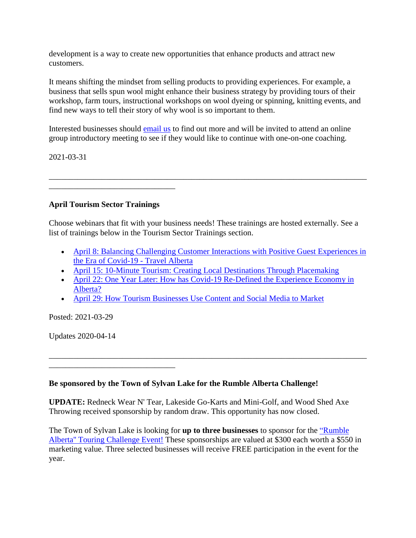development is a way to create new opportunities that enhance products and attract new customers.

It means shifting the mindset from selling products to providing experiences. For example, a business that sells spun wool might enhance their business strategy by providing tours of their workshop, farm tours, instructional workshops on wool dyeing or spinning, knitting events, and find new ways to tell their story of why wool is so important to them.

Interested businesses should [email us](mailto:nbhola@sylvanlake.ca) to find out more and will be invited to attend an online group introductory meeting to see if they would like to continue with one-on-one coaching.

2021-03-31

## **April Tourism Sector Trainings**

\_\_\_\_\_\_\_\_\_\_\_\_\_\_\_\_\_\_\_\_\_\_\_\_\_\_\_\_\_\_\_

Choose webinars that fit with your business needs! These trainings are hosted externally. See a list of trainings below in the Tourism Sector Trainings section.

\_\_\_\_\_\_\_\_\_\_\_\_\_\_\_\_\_\_\_\_\_\_\_\_\_\_\_\_\_\_\_\_\_\_\_\_\_\_\_\_\_\_\_\_\_\_\_\_\_\_\_\_\_\_\_\_\_\_\_\_\_\_\_\_\_\_\_\_\_\_\_\_\_\_\_\_\_\_

- [April 8: Balancing Challenging Customer Interactions with Positive Guest Experiences in](https://industry.travelalberta.com/training-events/workshops-webinars)  [the Era of Covid-19 -](https://industry.travelalberta.com/training-events/workshops-webinars) Travel Alberta
- [April 15: 10-Minute Tourism: Creating Local Destinations Through Placemaking](https://industry.travelalberta.com/training-events/workshops-webinars)
- [April 22: One Year Later: How has Covid-19 Re-Defined the Experience Economy in](https://industry.travelalberta.com/training-events/workshops-webinars)  [Alberta?](https://industry.travelalberta.com/training-events/workshops-webinars)

\_\_\_\_\_\_\_\_\_\_\_\_\_\_\_\_\_\_\_\_\_\_\_\_\_\_\_\_\_\_\_\_\_\_\_\_\_\_\_\_\_\_\_\_\_\_\_\_\_\_\_\_\_\_\_\_\_\_\_\_\_\_\_\_\_\_\_\_\_\_\_\_\_\_\_\_\_\_

[April 29: How Tourism Businesses Use Content and Social Media to Market](https://industry.travelalberta.com/training-events/workshops-webinars)

Posted: 2021-03-29

Updates 2020-04-14

\_\_\_\_\_\_\_\_\_\_\_\_\_\_\_\_\_\_\_\_\_\_\_\_\_\_\_\_\_\_\_

## **Be sponsored by the Town of Sylvan Lake for the Rumble Alberta Challenge!**

**UPDATE:** Redneck Wear N' Tear, Lakeside Go-Karts and Mini-Golf, and Wood Shed Axe Throwing received sponsorship by random draw. This opportunity has now closed.

The Town of Sylvan Lake is looking for **up to three businesses** to sponsor for the ["Rumble](https://rumblealberta.com/)  [Alberta'' Touring Challenge Event!](https://rumblealberta.com/) These sponsorships are valued at \$300 each worth a \$550 in marketing value. Three selected businesses will receive FREE participation in the event for the year.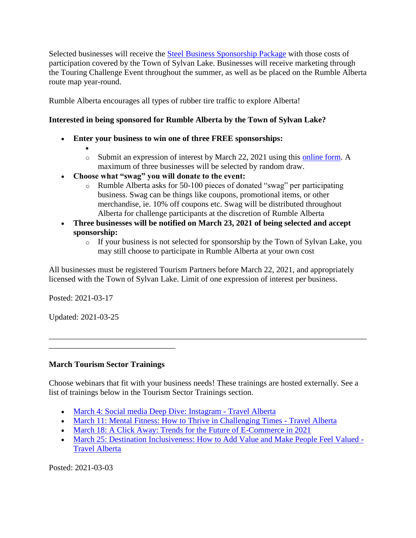Selected businesses will receive the [Steel Business Sponsorship Package](https://rumblealberta.com/sponsor-form/pay-it-forward.html) with those costs of participation covered by the Town of Sylvan Lake. Businesses will receive marketing through the Touring Challenge Event throughout the summer, as well as be placed on the Rumble Alberta route map year-round.

Rumble Alberta encourages all types of rubber tire traffic to explore Alberta!

# **Interested in being sponsored for Rumble Alberta by the Town of Sylvan Lake?**

- **Enter your business to win one of three FREE sponsorships:** 
	- $\bullet$ o Submit an expression of interest by March 22, 2021 using this [online form.](https://forms.sylvanlake.ca/Tourism/RumbleContest) A maximum of three businesses will be selected by random draw.
- **Choose what "swag" you will donate to the event:**
	- o Rumble Alberta asks for 50-100 pieces of donated "swag" per participating business. Swag can be things like coupons, promotional items, or other merchandise, ie. 10% off coupons etc. Swag will be distributed throughout Alberta for challenge participants at the discretion of Rumble Alberta
- **Three businesses will be notified on March 23, 2021 of being selected and accept sponsorship:**
	- o If your business is not selected for sponsorship by the Town of Sylvan Lake, you may still choose to participate in Rumble Alberta at your own cost

All businesses must be registered Tourism Partners before March 22, 2021, and appropriately licensed with the Town of Sylvan Lake. Limit of one expression of interest per business.

Posted: 2021-03-17

Updated: 2021-03-25

#### **March Tourism Sector Trainings**

\_\_\_\_\_\_\_\_\_\_\_\_\_\_\_\_\_\_\_\_\_\_\_\_\_\_\_\_\_\_\_

Choose webinars that fit with your business needs! These trainings are hosted externally. See a list of trainings below in the Tourism Sector Trainings section.

\_\_\_\_\_\_\_\_\_\_\_\_\_\_\_\_\_\_\_\_\_\_\_\_\_\_\_\_\_\_\_\_\_\_\_\_\_\_\_\_\_\_\_\_\_\_\_\_\_\_\_\_\_\_\_\_\_\_\_\_\_\_\_\_\_\_\_\_\_\_\_\_\_\_\_\_\_\_

- [March 4: Social media Deep Dive: Instagram -](https://industry.travelalberta.com/training-events/workshops-webinars) Travel Alberta
- [March 11: Mental Fitness: How to Thrive in Challenging Times -](https://industry.travelalberta.com/training-events/workshops-webinars) Travel Alberta
- [March 18: A Click Away: Trends for the Future of E-Commerce in 2021](https://industry.travelalberta.com/training-events/workshops-webinars)
- [March 25: Destination Inclusiveness: How to Add Value and Make People Feel Valued -](https://industry.travelalberta.com/training-events/workshops-webinars) [Travel Alberta](https://industry.travelalberta.com/training-events/workshops-webinars)

Posted: 2021-03-03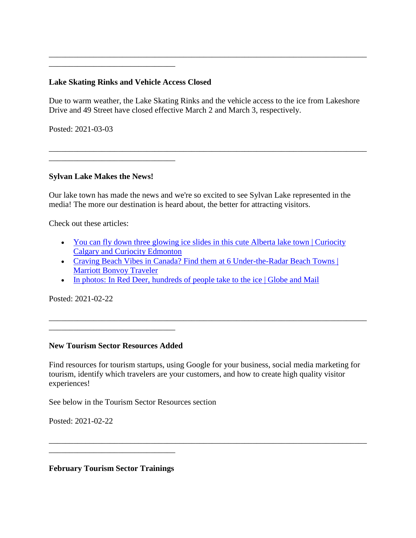### **Lake Skating Rinks and Vehicle Access Closed**

\_\_\_\_\_\_\_\_\_\_\_\_\_\_\_\_\_\_\_\_\_\_\_\_\_\_\_\_\_\_\_

Due to warm weather, the Lake Skating Rinks and the vehicle access to the ice from Lakeshore Drive and 49 Street have closed effective March 2 and March 3, respectively.

\_\_\_\_\_\_\_\_\_\_\_\_\_\_\_\_\_\_\_\_\_\_\_\_\_\_\_\_\_\_\_\_\_\_\_\_\_\_\_\_\_\_\_\_\_\_\_\_\_\_\_\_\_\_\_\_\_\_\_\_\_\_\_\_\_\_\_\_\_\_\_\_\_\_\_\_\_\_

\_\_\_\_\_\_\_\_\_\_\_\_\_\_\_\_\_\_\_\_\_\_\_\_\_\_\_\_\_\_\_\_\_\_\_\_\_\_\_\_\_\_\_\_\_\_\_\_\_\_\_\_\_\_\_\_\_\_\_\_\_\_\_\_\_\_\_\_\_\_\_\_\_\_\_\_\_\_

Posted: 2021-03-03

#### **Sylvan Lake Makes the News!**

Our lake town has made the news and we're so excited to see Sylvan Lake represented in the media! The more our destination is heard about, the better for attracting visitors.

Check out these articles:

- You can fly down three glowing ice slides in this cute Alberta lake town | Curiocity [Calgary and Curiocity Edmonton](https://curiocity.com/calgary/lifestyle/you-can-fly-down-3-glowing-ice-slides-in-this-cute-alberta-lake-town/?utm_campaign=later-linkinbio-curiocitycalgary&utm_content=later-14288899&utm_medium=social&utm_source=instagram)
- [Craving Beach Vibes in Canada? Find them at 6 Under-the-Radar Beach Towns |](https://traveler.marriott.com/beach-travel/best-canada-beaches/)  [Marriott Bonvoy Traveler](https://traveler.marriott.com/beach-travel/best-canada-beaches/)
- [In photos: In Red Deer, hundreds of people take to the ice | Globe and Mail](https://www.theglobeandmail.com/canada/alberta/article-in-photos-in-red-deer-hundreds-of-people-take-to-the-ice/)

Posted: 2021-02-22

#### **New Tourism Sector Resources Added**

\_\_\_\_\_\_\_\_\_\_\_\_\_\_\_\_\_\_\_\_\_\_\_\_\_\_\_\_\_\_\_

Find resources for tourism startups, using Google for your business, social media marketing for tourism, identify which travelers are your customers, and how to create high quality visitor experiences!

\_\_\_\_\_\_\_\_\_\_\_\_\_\_\_\_\_\_\_\_\_\_\_\_\_\_\_\_\_\_\_\_\_\_\_\_\_\_\_\_\_\_\_\_\_\_\_\_\_\_\_\_\_\_\_\_\_\_\_\_\_\_\_\_\_\_\_\_\_\_\_\_\_\_\_\_\_\_

\_\_\_\_\_\_\_\_\_\_\_\_\_\_\_\_\_\_\_\_\_\_\_\_\_\_\_\_\_\_\_\_\_\_\_\_\_\_\_\_\_\_\_\_\_\_\_\_\_\_\_\_\_\_\_\_\_\_\_\_\_\_\_\_\_\_\_\_\_\_\_\_\_\_\_\_\_\_

See below in the Tourism Sector Resources section

Posted: 2021-02-22

**February Tourism Sector Trainings**

\_\_\_\_\_\_\_\_\_\_\_\_\_\_\_\_\_\_\_\_\_\_\_\_\_\_\_\_\_\_\_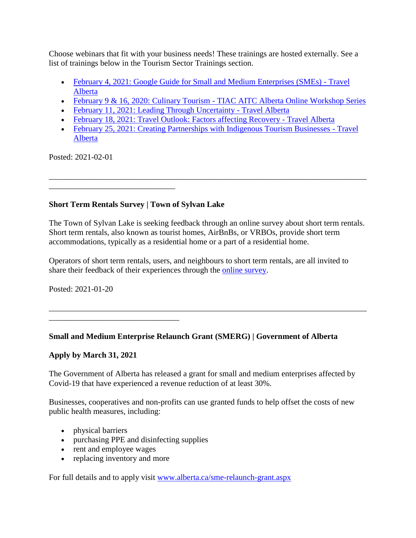Choose webinars that fit with your business needs! These trainings are hosted externally. See a list of trainings below in the Tourism Sector Trainings section.

- [February 4, 2021: Google Guide for Small and Medium Enterprises \(SMEs\) -](https://industry.travelalberta.com/training-events/workshops-webinars) Travel [Alberta](https://industry.travelalberta.com/training-events/workshops-webinars)
- February 9 & 16, 2020: Culinary Tourism [TIAC AITC Alberta Online Workshop Series](https://www.eventbrite.ca/e/february-9-16-2020-alberta-online-workshop-series-culinary-tourism-tickets-135418364975?aff=ebdssbonlinesearch)
- [February 11, 2021: Leading Through Uncertainty -](https://industry.travelalberta.com/training-events/workshops-webinars) Travel Alberta
- [February 18, 2021: Travel Outlook: Factors affecting Recovery -](https://industry.travelalberta.com/training-events/workshops-webinars) Travel Alberta
- [February 25, 2021: Creating Partnerships with Indigenous Tourism Businesses -](https://industry.travelalberta.com/training-events/workshops-webinars) Travel [Alberta](https://industry.travelalberta.com/training-events/workshops-webinars)

\_\_\_\_\_\_\_\_\_\_\_\_\_\_\_\_\_\_\_\_\_\_\_\_\_\_\_\_\_\_\_\_\_\_\_\_\_\_\_\_\_\_\_\_\_\_\_\_\_\_\_\_\_\_\_\_\_\_\_\_\_\_\_\_\_\_\_\_\_\_\_\_\_\_\_\_\_\_

Posted: 2021-02-01

# **Short Term Rentals Survey | Town of Sylvan Lake**

\_\_\_\_\_\_\_\_\_\_\_\_\_\_\_\_\_\_\_\_\_\_\_\_\_\_\_\_\_\_\_

\_\_\_\_\_\_\_\_\_\_\_\_\_\_\_\_\_\_\_\_\_\_\_\_\_\_\_\_\_\_\_\_

The Town of Sylvan Lake is seeking feedback through an online survey about short term rentals. Short term rentals, also known as tourist homes, AirBnBs, or VRBOs, provide short term accommodations, typically as a residential home or a part of a residential home.

\_\_\_\_\_\_\_\_\_\_\_\_\_\_\_\_\_\_\_\_\_\_\_\_\_\_\_\_\_\_\_\_\_\_\_\_\_\_\_\_\_\_\_\_\_\_\_\_\_\_\_\_\_\_\_\_\_\_\_\_\_\_\_\_\_\_\_\_\_\_\_\_\_\_\_\_\_\_

Operators of short term rentals, users, and neighbours to short term rentals, are all invited to share their feedback of their experiences through the [online survey.](https://forms.sylvanlake.ca/Surveys/ShortTermRentalSurvey)

Posted: 2021-01-20

## **Small and Medium Enterprise Relaunch Grant (SMERG) | Government of Alberta**

## **Apply by March 31, 2021**

The Government of Alberta has released a grant for small and medium enterprises affected by Covid-19 that have experienced a revenue reduction of at least 30%.

Businesses, cooperatives and non-profits can use granted funds to help offset the costs of new public health measures, including:

- physical barriers
- purchasing PPE and disinfecting supplies
- rent and employee wages
- replacing inventory and more

For full details and to apply visit [www.alberta.ca/sme-relaunch-grant.aspx](https://www.alberta.ca/sme-relaunch-grant.aspx)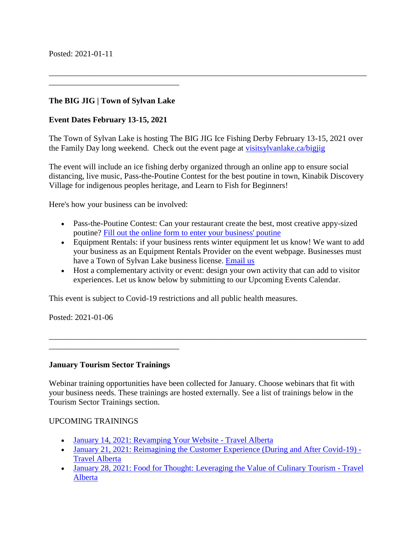### **The BIG JIG | Town of Sylvan Lake**

\_\_\_\_\_\_\_\_\_\_\_\_\_\_\_\_\_\_\_\_\_\_\_\_\_\_\_\_\_\_\_\_

#### **Event Dates February 13-15, 2021**

The Town of Sylvan Lake is hosting The BIG JIG Ice Fishing Derby February 13-15, 2021 over the Family Day long weekend. Check out the event page at [visitsylvanlake.ca/bigjig](https://visitsylvanlake.ca/bigjig/)

\_\_\_\_\_\_\_\_\_\_\_\_\_\_\_\_\_\_\_\_\_\_\_\_\_\_\_\_\_\_\_\_\_\_\_\_\_\_\_\_\_\_\_\_\_\_\_\_\_\_\_\_\_\_\_\_\_\_\_\_\_\_\_\_\_\_\_\_\_\_\_\_\_\_\_\_\_\_

The event will include an ice fishing derby organized through an online app to ensure social distancing, live music, Pass-the-Poutine Contest for the best poutine in town, Kinabik Discovery Village for indigenous peoples heritage, and Learn to Fish for Beginners!

Here's how your business can be involved:

- Pass-the-Poutine Contest: Can your restaurant create the best, most creative appy-sized poutine? [Fill out the online form to enter your business' poutine](https://forms.sylvanlake.ca/Tourism/PassThePoutine)
- Equipment Rentals: if your business rents winter equipment let us know! We want to add your business as an Equipment Rentals Provider on the event webpage. Businesses must have a Town of Sylvan Lake business license. [Email us](mailto:nbhola@sylvanlake.ca)
- Host a complementary activity or event: design your own activity that can add to visitor experiences. Let us know below by submitting to our Upcoming Events Calendar.

\_\_\_\_\_\_\_\_\_\_\_\_\_\_\_\_\_\_\_\_\_\_\_\_\_\_\_\_\_\_\_\_\_\_\_\_\_\_\_\_\_\_\_\_\_\_\_\_\_\_\_\_\_\_\_\_\_\_\_\_\_\_\_\_\_\_\_\_\_\_\_\_\_\_\_\_\_\_

This event is subject to Covid-19 restrictions and all public health measures.

Posted: 2021-01-06

**January Tourism Sector Trainings**

\_\_\_\_\_\_\_\_\_\_\_\_\_\_\_\_\_\_\_\_\_\_\_\_\_\_\_\_\_\_\_\_

Webinar training opportunities have been collected for January. Choose webinars that fit with your business needs. These trainings are hosted externally. See a list of trainings below in the Tourism Sector Trainings section.

#### UPCOMING TRAININGS

- [January 14, 2021: Revamping Your Website -](https://industry.travelalberta.com/training-events/workshops-webinars) Travel Alberta
- [January 21, 2021: Reimagining the Customer Experience \(During and After Covid-19\) -](https://industry.travelalberta.com/training-events/workshops-webinars) [Travel Alberta](https://industry.travelalberta.com/training-events/workshops-webinars)
- [January 28, 2021: Food for Thought: Leveraging the Value of](https://industry.travelalberta.com/training-events/workshops-webinars) Culinary Tourism Travel [Alberta](https://industry.travelalberta.com/training-events/workshops-webinars)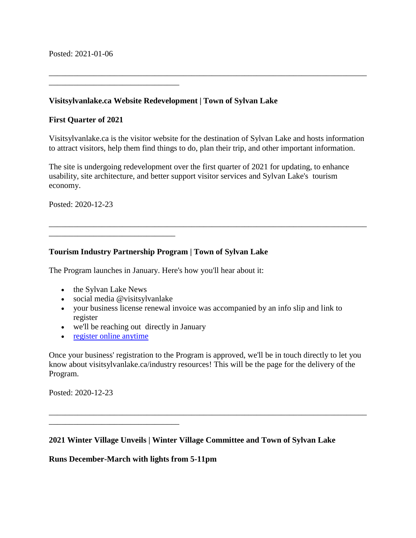Posted: 2021-01-06

**Visitsylvanlake.ca Website Redevelopment | Town of Sylvan Lake**

### **First Quarter of 2021**

\_\_\_\_\_\_\_\_\_\_\_\_\_\_\_\_\_\_\_\_\_\_\_\_\_\_\_\_\_\_\_\_

Visitsylvanlake.ca is the visitor website for the destination of Sylvan Lake and hosts information to attract visitors, help them find things to do, plan their trip, and other important information.

\_\_\_\_\_\_\_\_\_\_\_\_\_\_\_\_\_\_\_\_\_\_\_\_\_\_\_\_\_\_\_\_\_\_\_\_\_\_\_\_\_\_\_\_\_\_\_\_\_\_\_\_\_\_\_\_\_\_\_\_\_\_\_\_\_\_\_\_\_\_\_\_\_\_\_\_\_\_

\_\_\_\_\_\_\_\_\_\_\_\_\_\_\_\_\_\_\_\_\_\_\_\_\_\_\_\_\_\_\_\_\_\_\_\_\_\_\_\_\_\_\_\_\_\_\_\_\_\_\_\_\_\_\_\_\_\_\_\_\_\_\_\_\_\_\_\_\_\_\_\_\_\_\_\_\_\_

The site is undergoing redevelopment over the first quarter of 2021 for updating, to enhance usability, site architecture, and better support visitor services and Sylvan Lake's tourism economy.

Posted: 2020-12-23

### **Tourism Industry Partnership Program | Town of Sylvan Lake**

The Program launches in January. Here's how you'll hear about it:

• the Sylvan Lake News

\_\_\_\_\_\_\_\_\_\_\_\_\_\_\_\_\_\_\_\_\_\_\_\_\_\_\_\_\_\_\_

- social media @visitsylvanlake
- your business license renewal invoice was accompanied by an info slip and link to register
- we'll be reaching out directly in January
- [register online anytime](https://www.sylvanlake.ca/en/business-development/tourism-development.aspx)

\_\_\_\_\_\_\_\_\_\_\_\_\_\_\_\_\_\_\_\_\_\_\_\_\_\_\_\_\_\_\_\_

Once your business' registration to the Program is approved, we'll be in touch directly to let you know about visitsylvanlake.ca/industry resources! This will be the page for the delivery of the Program.

\_\_\_\_\_\_\_\_\_\_\_\_\_\_\_\_\_\_\_\_\_\_\_\_\_\_\_\_\_\_\_\_\_\_\_\_\_\_\_\_\_\_\_\_\_\_\_\_\_\_\_\_\_\_\_\_\_\_\_\_\_\_\_\_\_\_\_\_\_\_\_\_\_\_\_\_\_\_

Posted: 2020-12-23

#### **2021 Winter Village Unveils | Winter Village Committee and Town of Sylvan Lake**

#### **Runs December-March with lights from 5-11pm**